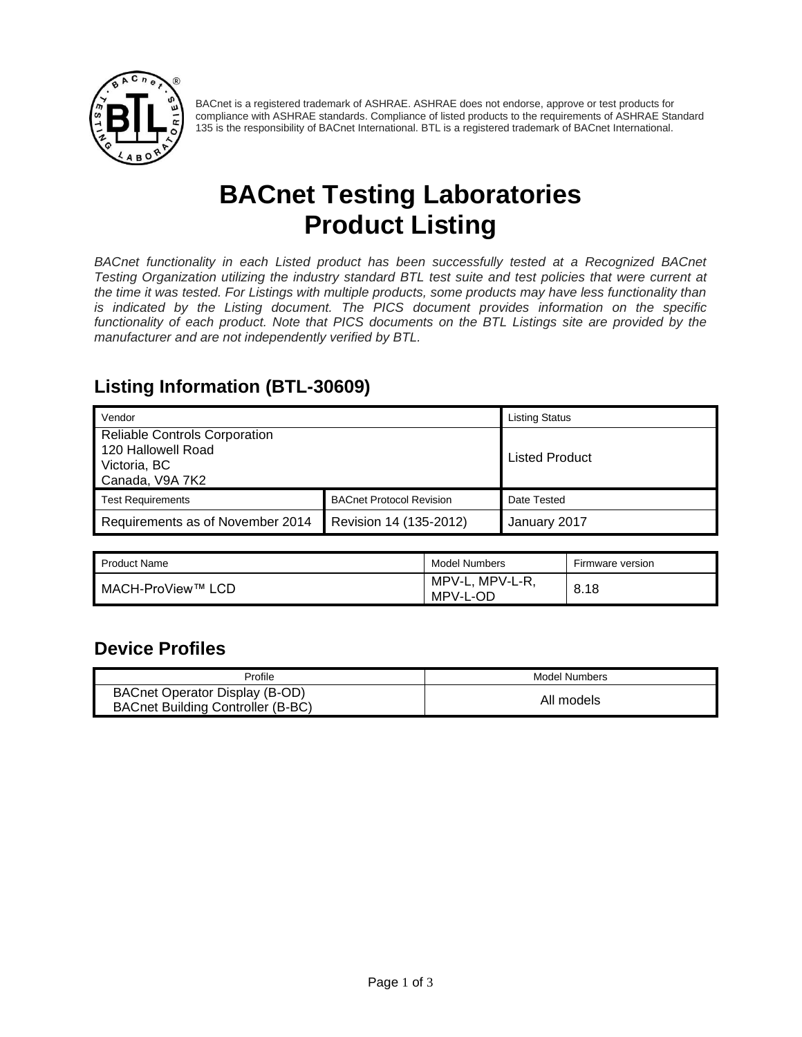

BACnet is a registered trademark of ASHRAE. ASHRAE does not endorse, approve or test products for compliance with ASHRAE standards. Compliance of listed products to the requirements of ASHRAE Standard 135 is the responsibility of BACnet International. BTL is a registered trademark of BACnet International.

# **BACnet Testing Laboratories Product Listing**

*BACnet functionality in each Listed product has been successfully tested at a Recognized BACnet Testing Organization utilizing the industry standard BTL test suite and test policies that were current at the time it was tested. For Listings with multiple products, some products may have less functionality than is indicated by the Listing document. The PICS document provides information on the specific functionality of each product. Note that PICS documents on the BTL Listings site are provided by the manufacturer and are not independently verified by BTL.*

#### **Listing Information (BTL-30609)**

| Vendor                                                                                        |                                 | <b>Listing Status</b> |
|-----------------------------------------------------------------------------------------------|---------------------------------|-----------------------|
| <b>Reliable Controls Corporation</b><br>120 Hallowell Road<br>Victoria, BC<br>Canada, V9A 7K2 |                                 | <b>Listed Product</b> |
| <b>Test Requirements</b>                                                                      | <b>BACnet Protocol Revision</b> | Date Tested           |
| Requirements as of November 2014                                                              | Revision 14 (135-2012)          | January 2017          |

| Product Name      | Model Numbers                  | Firmware version |
|-------------------|--------------------------------|------------------|
| MACH-ProView™ LCD | MPV-L-R,<br>MPV-L,<br>MPV-L-OD | 8.18             |

#### **Device Profiles**

| Profile                                                             | Model Numbers |
|---------------------------------------------------------------------|---------------|
| BACnet Operator Display (B-OD)<br>BACnet Building Controller (B-BC) | All models    |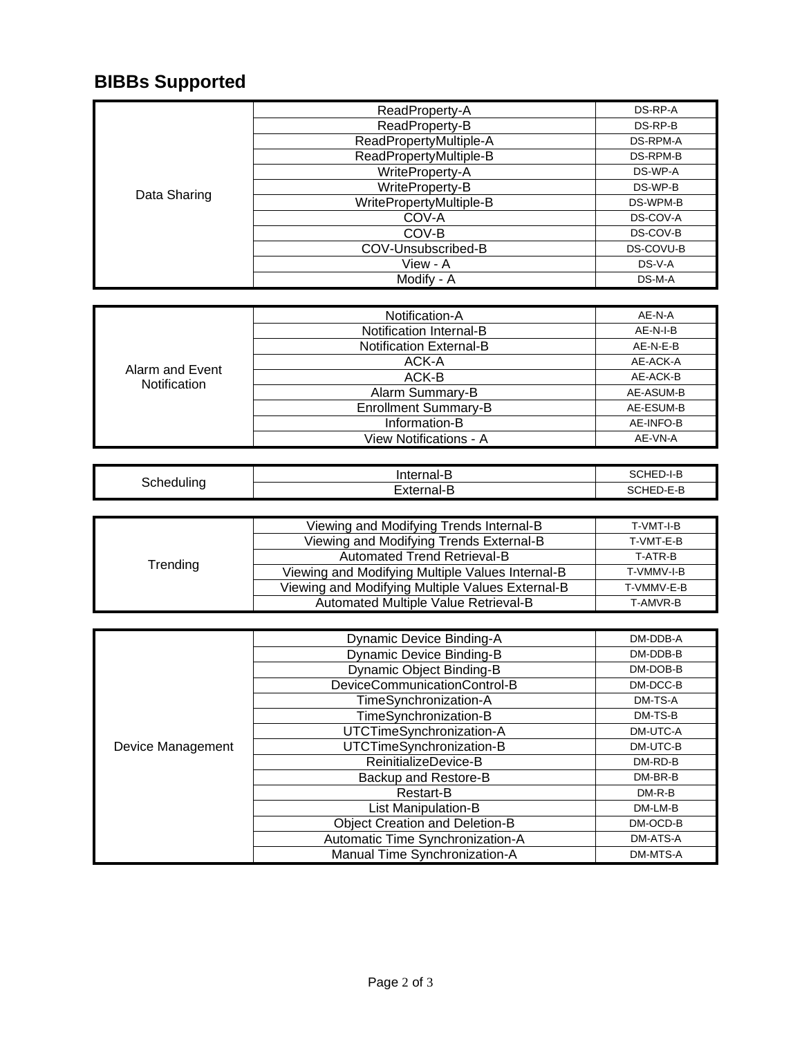## **BIBBs Supported**

| Data Sharing | ReadProperty-A          | DS-RP-A   |
|--------------|-------------------------|-----------|
|              | ReadProperty-B          | DS-RP-B   |
|              | ReadPropertyMultiple-A  | DS-RPM-A  |
|              | ReadPropertyMultiple-B  | DS-RPM-B  |
|              | WriteProperty-A         | DS-WP-A   |
|              | WriteProperty-B         | DS-WP-B   |
|              | WritePropertyMultiple-B | DS-WPM-B  |
|              | COV-A                   | DS-COV-A  |
|              | COV-B                   | DS-COV-B  |
|              | COV-Unsubscribed-B      | DS-COVU-B |
|              | View - A                | DS-V-A    |
|              | Modify - A              | DS-M-A    |

| Alarm and Event<br><b>Notification</b> | Notification-A                 | AE-N-A    |
|----------------------------------------|--------------------------------|-----------|
|                                        | Notification Internal-B        | AE-N-I-B  |
|                                        | <b>Notification External-B</b> | AE-N-E-B  |
|                                        | ACK-A                          | AE-ACK-A  |
|                                        | ACK-B                          | AE-ACK-B  |
|                                        | Alarm Summary-B                | AE-ASUM-B |
|                                        | <b>Enrollment Summary-B</b>    | AE-ESUM-B |
|                                        | Information-B                  | AE-INFO-B |
|                                        | View Notifications - A         | AE-VN-A   |

| Schedulinc | .<br>.                      | ⊶⊫         |
|------------|-----------------------------|------------|
|            | $ -$<br>.<br>γ τρ.<br>_<br> | -<br>$  -$ |

| Trending | Viewing and Modifying Trends Internal-B          | T-VMT-I-B  |
|----------|--------------------------------------------------|------------|
|          | Viewing and Modifying Trends External-B          | T-VMT-E-B  |
|          | <b>Automated Trend Retrieval-B</b>               | T-ATR-B    |
|          | Viewing and Modifying Multiple Values Internal-B | T-VMMV-I-B |
|          | Viewing and Modifying Multiple Values External-B | T-VMMV-E-B |
|          | Automated Multiple Value Retrieval-B             | T-AMVR-B   |

|                   | <b>Dynamic Device Binding-A</b>       | DM-DDB-A |
|-------------------|---------------------------------------|----------|
|                   | <b>Dynamic Device Binding-B</b>       | DM-DDB-B |
|                   | Dynamic Object Binding-B              | DM-DOB-B |
|                   | DeviceCommunicationControl-B          | DM-DCC-B |
|                   | TimeSynchronization-A                 | DM-TS-A  |
|                   | TimeSynchronization-B                 | DM-TS-B  |
| Device Management | UTCTimeSynchronization-A              | DM-UTC-A |
|                   | UTCTimeSynchronization-B              | DM-UTC-B |
|                   | ReinitializeDevice-B                  | DM-RD-B  |
|                   | Backup and Restore-B                  | DM-BR-B  |
|                   | Restart-B                             | $DM-R-B$ |
|                   | <b>List Manipulation-B</b>            | DM-LM-B  |
|                   | <b>Object Creation and Deletion-B</b> | DM-OCD-B |
|                   | Automatic Time Synchronization-A      | DM-ATS-A |
|                   | Manual Time Synchronization-A         | DM-MTS-A |